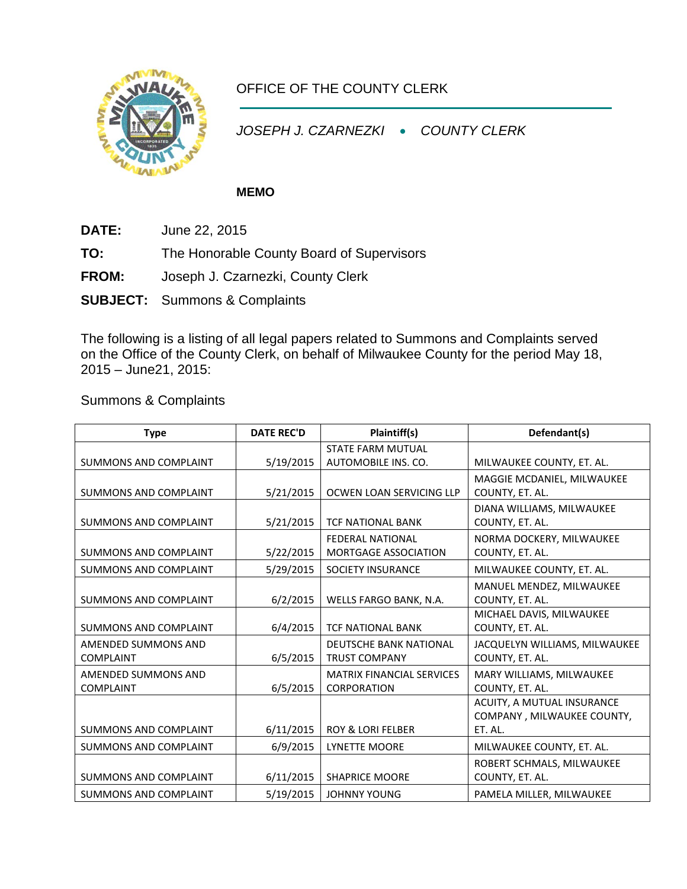

## OFFICE OF THE COUNTY CLERK

*JOSEPH J. CZARNEZKI* • *COUNTY CLERK*

## **MEMO**

- **DATE:** June 22, 2015
- **TO:** The Honorable County Board of Supervisors
- **FROM:** Joseph J. Czarnezki, County Clerk
- **SUBJECT:** Summons & Complaints

The following is a listing of all legal papers related to Summons and Complaints served on the Office of the County Clerk, on behalf of Milwaukee County for the period May 18, 2015 – June21, 2015:

Summons & Complaints

| <b>Type</b>                  | <b>DATE REC'D</b> | Plaintiff(s)                     | Defendant(s)                  |
|------------------------------|-------------------|----------------------------------|-------------------------------|
|                              |                   | <b>STATE FARM MUTUAL</b>         |                               |
| <b>SUMMONS AND COMPLAINT</b> | 5/19/2015         | AUTOMOBILE INS. CO.              | MILWAUKEE COUNTY, ET. AL.     |
|                              |                   |                                  | MAGGIE MCDANIEL, MILWAUKEE    |
| <b>SUMMONS AND COMPLAINT</b> | 5/21/2015         | OCWEN LOAN SERVICING LLP         | COUNTY, ET. AL.               |
|                              |                   |                                  | DIANA WILLIAMS, MILWAUKEE     |
| <b>SUMMONS AND COMPLAINT</b> | 5/21/2015         | <b>TCF NATIONAL BANK</b>         | COUNTY, ET. AL.               |
|                              |                   | <b>FEDERAL NATIONAL</b>          | NORMA DOCKERY, MILWAUKEE      |
| SUMMONS AND COMPLAINT        | 5/22/2015         | <b>MORTGAGE ASSOCIATION</b>      | COUNTY, ET. AL.               |
| <b>SUMMONS AND COMPLAINT</b> | 5/29/2015         | <b>SOCIETY INSURANCE</b>         | MILWAUKEE COUNTY, ET. AL.     |
|                              |                   |                                  | MANUEL MENDEZ, MILWAUKEE      |
| <b>SUMMONS AND COMPLAINT</b> | 6/2/2015          | WELLS FARGO BANK, N.A.           | COUNTY, ET. AL.               |
|                              |                   |                                  | MICHAEL DAVIS, MILWAUKEE      |
| <b>SUMMONS AND COMPLAINT</b> | 6/4/2015          | <b>TCF NATIONAL BANK</b>         | COUNTY, ET. AL.               |
| AMENDED SUMMONS AND          |                   | <b>DEUTSCHE BANK NATIONAL</b>    | JACQUELYN WILLIAMS, MILWAUKEE |
| <b>COMPLAINT</b>             | 6/5/2015          | <b>TRUST COMPANY</b>             | COUNTY, ET. AL.               |
| AMENDED SUMMONS AND          |                   | <b>MATRIX FINANCIAL SERVICES</b> | MARY WILLIAMS, MILWAUKEE      |
| <b>COMPLAINT</b>             | 6/5/2015          | <b>CORPORATION</b>               | COUNTY, ET. AL.               |
|                              |                   |                                  | ACUITY, A MUTUAL INSURANCE    |
|                              |                   |                                  | COMPANY, MILWAUKEE COUNTY,    |
| <b>SUMMONS AND COMPLAINT</b> | 6/11/2015         | <b>ROY &amp; LORI FELBER</b>     | ET. AL.                       |
| <b>SUMMONS AND COMPLAINT</b> | 6/9/2015          | <b>LYNETTE MOORE</b>             | MILWAUKEE COUNTY, ET. AL.     |
|                              |                   |                                  | ROBERT SCHMALS, MILWAUKEE     |
| <b>SUMMONS AND COMPLAINT</b> | 6/11/2015         | <b>SHAPRICE MOORE</b>            | COUNTY, ET. AL.               |
| <b>SUMMONS AND COMPLAINT</b> | 5/19/2015         | <b>JOHNNY YOUNG</b>              | PAMELA MILLER, MILWAUKEE      |